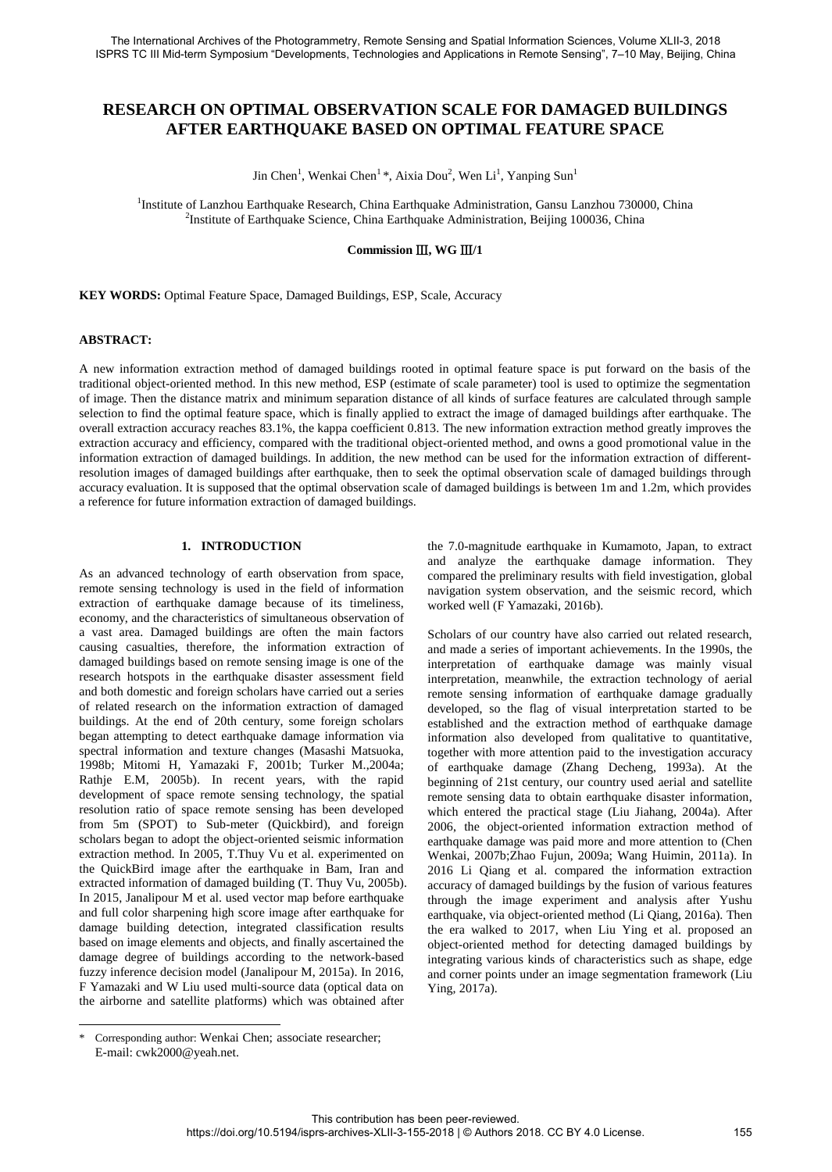# **RESEARCH ON OPTIMAL OBSERVATION SCALE FOR DAMAGED BUILDINGS AFTER EARTHQUAKE BASED ON OPTIMAL FEATURE SPACE**

Jin Chen<sup>1</sup>, Wenkai Chen<sup>1</sup> \*, Aixia Dou<sup>2</sup>, Wen Li<sup>1</sup>, Yanping Sun<sup>1</sup>

<sup>1</sup>Institute of Lanzhou Earthquake Research, China Earthquake Administration, Gansu Lanzhou 730000, China <sup>2</sup>Institute of Earthquake Science, China Earthquake Administration, Beijing 100036, China

## **Commission** Ⅲ**, WG** Ⅲ**/1**

**KEY WORDS:** Optimal Feature Space, Damaged Buildings, ESP, Scale, Accuracy

## **ABSTRACT:**

A new information extraction method of damaged buildings rooted in optimal feature space is put forward on the basis of the traditional object-oriented method. In this new method, ESP (estimate of scale parameter) tool is used to optimize the segmentation of image. Then the distance matrix and minimum separation distance of all kinds of surface features are calculated through sample selection to find the optimal feature space, which is finally applied to extract the image of damaged buildings after earthquake. The overall extraction accuracy reaches 83.1%, the kappa coefficient 0.813. The new information extraction method greatly improves the extraction accuracy and efficiency, compared with the traditional object-oriented method, and owns a good promotional value in the information extraction of damaged buildings. In addition, the new method can be used for the information extraction of differentresolution images of damaged buildings after earthquake, then to seek the optimal observation scale of damaged buildings through accuracy evaluation. It is supposed that the optimal observation scale of damaged buildings is between 1m and 1.2m, which provides a reference for future information extraction of damaged buildings.

## **1. INTRODUCTION**

As an advanced technology of earth observation from space, remote sensing technology is used in the field of information extraction of earthquake damage because of its timeliness, economy, and the characteristics of simultaneous observation of a vast area. Damaged buildings are often the main factors causing casualties, therefore, the information extraction of damaged buildings based on remote sensing image is one of the research hotspots in the earthquake disaster assessment field and both domestic and foreign scholars have carried out a series of related research on the information extraction of damaged buildings. At the end of 20th century, some foreign scholars began attempting to detect earthquake damage information via spectral information and texture changes (Masashi Matsuoka, 1998b; Mitomi H, Yamazaki F, 2001b; Turker M.,2004a; Rathje E.M, 2005b). In recent years, with the rapid development of space remote sensing technology, the spatial resolution ratio of space remote sensing has been developed from 5m (SPOT) to Sub-meter (Quickbird), and foreign scholars began to adopt the object-oriented seismic information extraction method. In 2005, T.Thuy Vu et al. experimented on the QuickBird image after the earthquake in Bam, Iran and extracted information of damaged building (T. Thuy Vu, 2005b). In 2015, Janalipour M et al. used vector map before earthquake and full color sharpening high score image after earthquake for damage building detection, integrated classification results based on image elements and objects, and finally ascertained the damage degree of buildings according to the network-based fuzzy inference decision model (Janalipour M, 2015a). In 2016, F Yamazaki and W Liu used multi-source data (optical data on the airborne and satellite platforms) which was obtained after

the 7.0-magnitude earthquake in Kumamoto, Japan, to extract and analyze the earthquake damage information. They compared the preliminary results with field investigation, global navigation system observation, and the seismic record, which worked well (F Yamazaki, 2016b).

Scholars of our country have also carried out related research, and made a series of important achievements. In the 1990s, the interpretation of earthquake damage was mainly visual interpretation, meanwhile, the extraction technology of aerial remote sensing information of earthquake damage gradually developed, so the flag of visual interpretation started to be established and the extraction method of earthquake damage information also developed from qualitative to quantitative, together with more attention paid to the investigation accuracy of earthquake damage (Zhang Decheng, 1993a). At the beginning of 21st century, our country used aerial and satellite remote sensing data to obtain earthquake disaster information, which entered the practical stage (Liu Jiahang, 2004a). After 2006, the object-oriented information extraction method of earthquake damage was paid more and more attention to (Chen Wenkai, 2007b;Zhao Fujun, 2009a; Wang Huimin, 2011a). In 2016 Li Qiang et al. compared the information extraction accuracy of damaged buildings by the fusion of various features through the image experiment and analysis after Yushu earthquake, via object-oriented method (Li Qiang, 2016a). Then the era walked to 2017, when Liu Ying et al. proposed an object-oriented method for detecting damaged buildings by integrating various kinds of characteristics such as shape, edge and corner points under an image segmentation framework (Liu Ying, 2017a).

Corresponding author: Wenkai Chen; associate researcher; E-mail: cwk2000@yeah.net.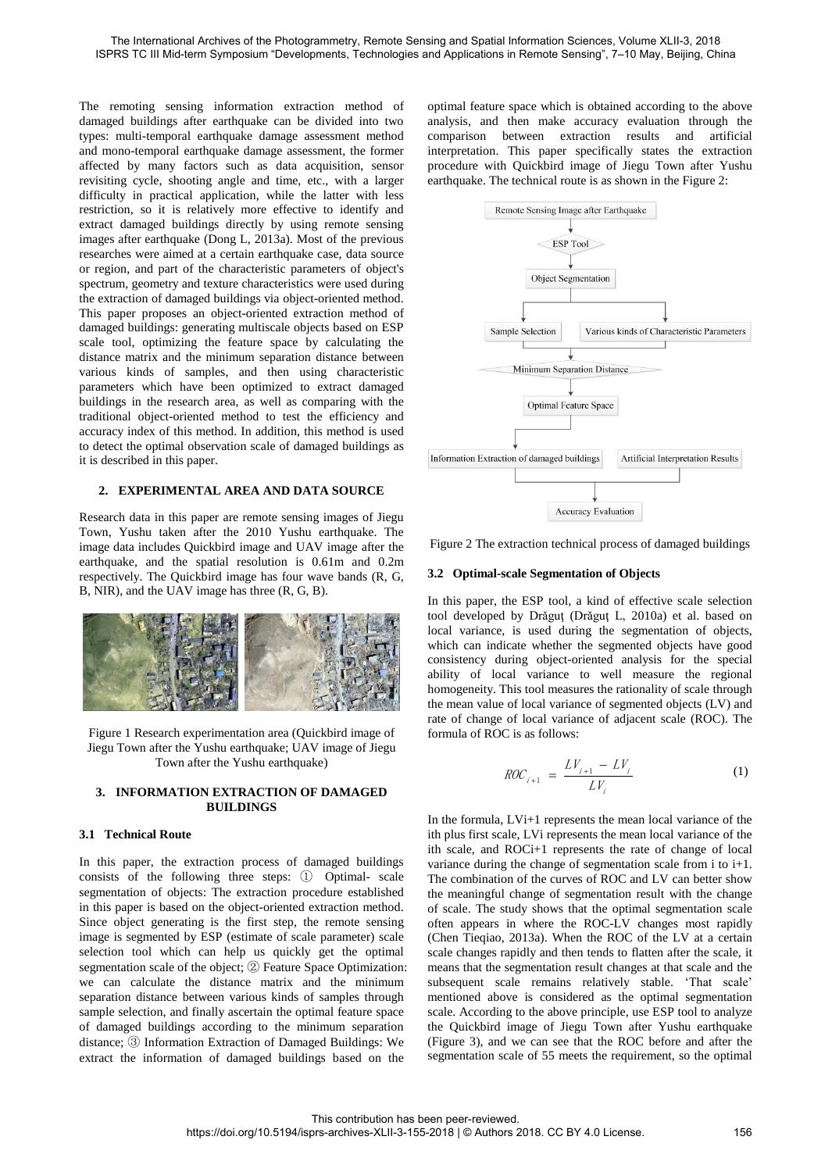The remoting sensing information extraction method of damaged buildings after earthquake can be divided into two types: multi-temporal earthquake damage assessment method and mono-temporal earthquake damage assessment, the former affected by many factors such as data acquisition, sensor revisiting cycle, shooting angle and time, etc., with a larger difficulty in practical application, while the latter with less restriction, so it is relatively more effective to identify and extract damaged buildings directly by using remote sensing images after earthquake (Dong L, 2013a). Most of the previous researches were aimed at a certain earthquake case, data source or region, and part of the characteristic parameters of object's spectrum, geometry and texture characteristics were used during the extraction of damaged buildings via object-oriented method. This paper proposes an object-oriented extraction method of damaged buildings: generating multiscale objects based on ESP scale tool, optimizing the feature space by calculating the distance matrix and the minimum separation distance between various kinds of samples, and then using characteristic parameters which have been optimized to extract damaged buildings in the research area, as well as comparing with the traditional object-oriented method to test the efficiency and accuracy index of this method. In addition, this method is used to detect the optimal observation scale of damaged buildings as it is described in this paper.

## **2. EXPERIMENTAL AREA AND DATA SOURCE**

Research data in this paper are remote sensing images of Jiegu Town, Yushu taken after the 2010 Yushu earthquake. The image data includes Quickbird image and UAV image after the earthquake, and the spatial resolution is 0.61m and 0.2m respectively. The Quickbird image has four wave bands (R, G, B, NIR), and the UAV image has three (R, G, B).



Figure 1 Research experimentation area (Quickbird image of Jiegu Town after the Yushu earthquake; UAV image of Jiegu Town after the Yushu earthquake)

### **3. INFORMATION EXTRACTION OF DAMAGED BUILDINGS**

#### **3.1 Technical Route**

In this paper, the extraction process of damaged buildings consists of the following three steps: ① Optimal- scale segmentation of objects: The extraction procedure established in this paper is based on the object-oriented extraction method. Since object generating is the first step, the remote sensing image is segmented by ESP (estimate of scale parameter) scale selection tool which can help us quickly get the optimal segmentation scale of the object; ② Feature Space Optimization: we can calculate the distance matrix and the minimum separation distance between various kinds of samples through sample selection, and finally ascertain the optimal feature space of damaged buildings according to the minimum separation distance; ③ Information Extraction of Damaged Buildings: We extract the information of damaged buildings based on the

optimal feature space which is obtained according to the above analysis, and then make accuracy evaluation through the comparison between extraction results and artificial interpretation. This paper specifically states the extraction procedure with Quickbird image of Jiegu Town after Yushu earthquake. The technical route is as shown in the Figure 2:



Figure 2 The extraction technical process of damaged buildings

#### **3.2 Optimal-scale Segmentation of Objects**

In this paper, the ESP tool, a kind of effective scale selection tool developed by Drǎguţ (Drǎguţ L, 2010a) et al. based on local variance, is used during the segmentation of objects, which can indicate whether the segmented objects have good consistency during object-oriented analysis for the special ability of local variance to well measure the regional homogeneity. This tool measures the rationality of scale through the mean value of local variance of segmented objects (LV) and rate of change of local variance of adjacent scale (ROC). The formula of ROC is as follows:

$$
ROC_{i+1} = \frac{LV_{i+1} - LV_i}{LV_i}
$$
 (1)

In the formula, LVi+1 represents the mean local variance of the ith plus first scale, LVi represents the mean local variance of the ith scale, and ROCi+1 represents the rate of change of local variance during the change of segmentation scale from i to i+1. The combination of the curves of ROC and LV can better show the meaningful change of segmentation result with the change of scale. The study shows that the optimal segmentation scale often appears in where the ROC-LV changes most rapidly (Chen Tieqiao, 2013a). When the ROC of the LV at a certain scale changes rapidly and then tends to flatten after the scale, it means that the segmentation result changes at that scale and the subsequent scale remains relatively stable. 'That scale' mentioned above is considered as the optimal segmentation scale. According to the above principle, use ESP tool to analyze the Quickbird image of Jiegu Town after Yushu earthquake (Figure 3), and we can see that the ROC before and after the segmentation scale of 55 meets the requirement, so the optimal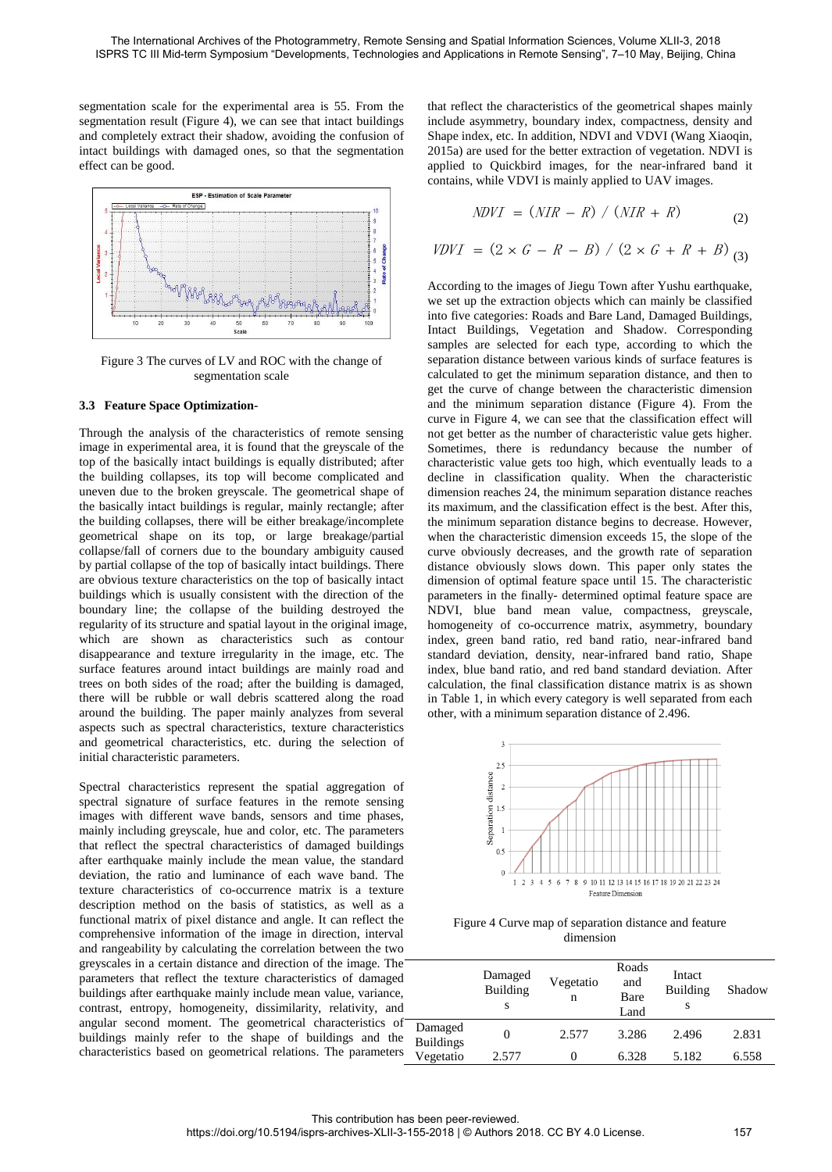segmentation scale for the experimental area is 55. From the segmentation result (Figure 4), we can see that intact buildings and completely extract their shadow, avoiding the confusion of intact buildings with damaged ones, so that the segmentation effect can be good.



Figure 3 The curves of LV and ROC with the change of segmentation scale

#### **3.3 Feature Space Optimization-**

Through the analysis of the characteristics of remote sensing image in experimental area, it is found that the greyscale of the top of the basically intact buildings is equally distributed; after the building collapses, its top will become complicated and uneven due to the broken greyscale. The geometrical shape of the basically intact buildings is regular, mainly rectangle; after the building collapses, there will be either breakage/incomplete geometrical shape on its top, or large breakage/partial collapse/fall of corners due to the boundary ambiguity caused by partial collapse of the top of basically intact buildings. There are obvious texture characteristics on the top of basically intact buildings which is usually consistent with the direction of the boundary line; the collapse of the building destroyed the regularity of its structure and spatial layout in the original image, which are shown as characteristics such as contour disappearance and texture irregularity in the image, etc. The surface features around intact buildings are mainly road and trees on both sides of the road; after the building is damaged, there will be rubble or wall debris scattered along the road around the building. The paper mainly analyzes from several aspects such as spectral characteristics, texture characteristics and geometrical characteristics, etc. during the selection of initial characteristic parameters.

Spectral characteristics represent the spatial aggregation of spectral signature of surface features in the remote sensing images with different wave bands, sensors and time phases, mainly including greyscale, hue and color, etc. The parameters that reflect the spectral characteristics of damaged buildings after earthquake mainly include the mean value, the standard deviation, the ratio and luminance of each wave band. The texture characteristics of co-occurrence matrix is a texture description method on the basis of statistics, as well as a functional matrix of pixel distance and angle. It can reflect the comprehensive information of the image in direction, interval and rangeability by calculating the correlation between the two greyscales in a certain distance and direction of the image. The parameters that reflect the texture characteristics of damaged buildings after earthquake mainly include mean value, variance, contrast, entropy, homogeneity, dissimilarity, relativity, and angular second moment. The geometrical characteristics of buildings mainly refer to the shape of buildings and the characteristics based on geometrical relations. The parameters that reflect the characteristics of the geometrical shapes mainly include asymmetry, boundary index, compactness, density and Shape index, etc. In addition, NDVI and VDVI (Wang Xiaoqin, 2015a) are used for the better extraction of vegetation. NDVI is applied to Quickbird images, for the near-infrared band it contains, while VDVI is mainly applied to UAV images.

$$
NDVI = (NIR - R) / (NIR + R)
$$
 (2)

$$
WVI = (NIR - R) / (NIR + R)
$$
  
\n
$$
VDVI = (2 \times G - R - B) / (2 \times G + R + B) \binom{2}{3}
$$

According to the images of Jiegu Town after Yushu earthquake, we set up the extraction objects which can mainly be classified into five categories: Roads and Bare Land, Damaged Buildings, Intact Buildings, Vegetation and Shadow. Corresponding samples are selected for each type, according to which the separation distance between various kinds of surface features is calculated to get the minimum separation distance, and then to get the curve of change between the characteristic dimension and the minimum separation distance (Figure 4). From the curve in Figure 4, we can see that the classification effect will not get better as the number of characteristic value gets higher. Sometimes, there is redundancy because the number of characteristic value gets too high, which eventually leads to a decline in classification quality. When the characteristic dimension reaches 24, the minimum separation distance reaches its maximum, and the classification effect is the best. After this, the minimum separation distance begins to decrease. However, when the characteristic dimension exceeds 15, the slope of the curve obviously decreases, and the growth rate of separation distance obviously slows down. This paper only states the dimension of optimal feature space until 15. The characteristic parameters in the finally- determined optimal feature space are NDVI, blue band mean value, compactness, greyscale, homogeneity of co-occurrence matrix, asymmetry, boundary index, green band ratio, red band ratio, near-infrared band standard deviation, density, near-infrared band ratio, Shape index, blue band ratio, and red band standard deviation. After calculation, the final classification distance matrix is as shown in Table 1, in which every category is well separated from each other, with a minimum separation distance of 2.496.



Figure 4 Curve map of separation distance and feature dimension

|                             | Damaged<br>Building<br>S | Vegetatio<br>n | Roads<br>and<br>Bare<br>Land | Intact<br>Building<br>S | Shadow |
|-----------------------------|--------------------------|----------------|------------------------------|-------------------------|--------|
| Damaged<br><b>Buildings</b> |                          | 2.577          | 3.286                        | 2.496                   | 2.831  |
| Vegetatio                   | 2.577                    | $\theta$       | 6.328                        | 5.182                   | 6.558  |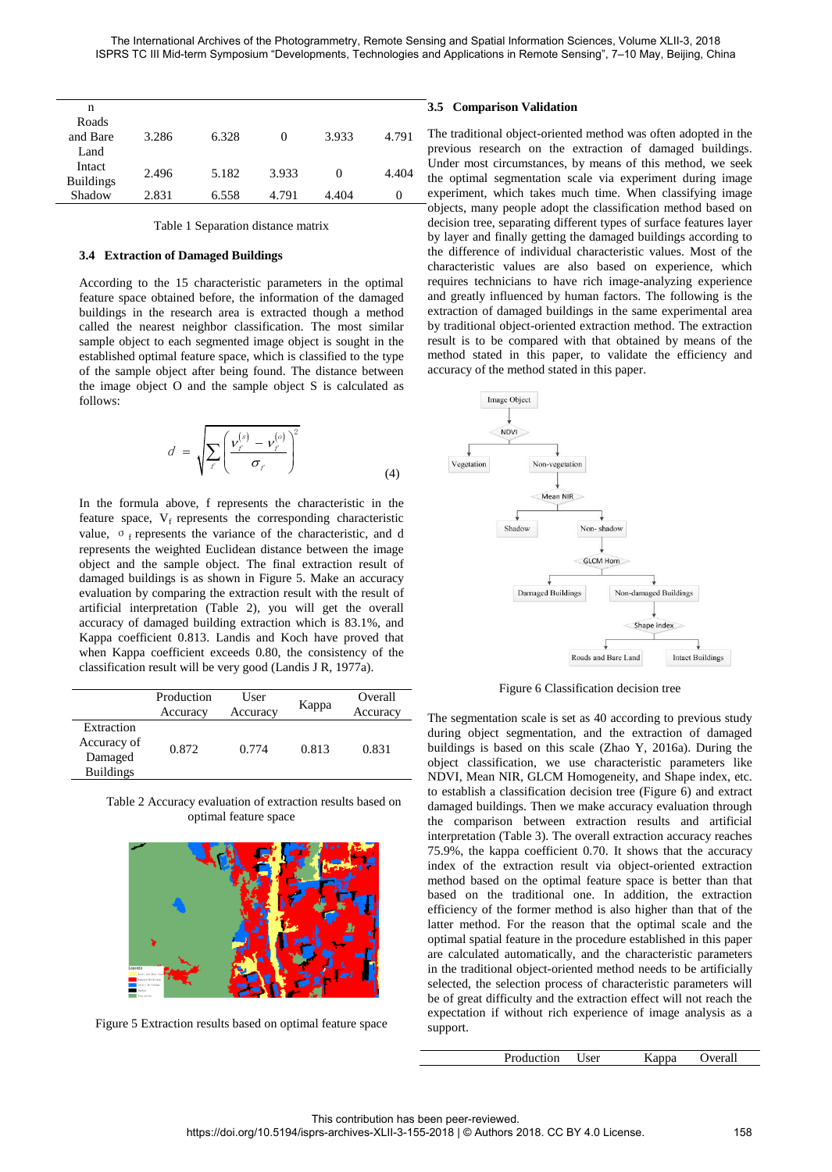| n                |       |       |       |       |       |
|------------------|-------|-------|-------|-------|-------|
| Roads            |       |       |       |       |       |
| and Bare         | 3.286 | 6.328 | 0     | 3.933 | 4.791 |
| Land             |       |       |       |       |       |
| Intact           | 2.496 | 5.182 | 3.933 |       |       |
| <b>Buildings</b> |       |       |       | 0     | 4.404 |
| Shadow           | 2.831 | 6.558 | 4.791 | 4.404 | 0     |

Table 1 Separation distance matrix

#### **3.4 Extraction of Damaged Buildings**

According to the 15 characteristic parameters in the optimal feature space obtained before, the information of the damaged buildings in the research area is extracted though a method called the nearest neighbor classification. The most similar sample object to each segmented image object is sought in the established optimal feature space, which is classified to the type of the sample object after being found. The distance between the image object O and the sample object S is calculated as follows:

$$
d = \sqrt{\sum_{f} \left( \frac{v_f^{(s)} - v_f^{(o)}}{\sigma_f} \right)^2}
$$
(4)

In the formula above, f represents the characteristic in the feature space,  $V_f$  represents the corresponding characteristic value, σ<sub>f</sub> represents the variance of the characteristic, and d represents the weighted Euclidean distance between the image object and the sample object. The final extraction result of damaged buildings is as shown in Figure 5. Make an accuracy evaluation by comparing the extraction result with the result of artificial interpretation (Table 2), you will get the overall accuracy of damaged building extraction which is 83.1%, and Kappa coefficient 0.813. Landis and Koch have proved that when Kappa coefficient exceeds 0.80, the consistency of the classification result will be very good (Landis J R, 1977a).

|                                                          | Production<br>Accuracy | User<br>Accuracy | Kappa | Overall<br>Accuracy |
|----------------------------------------------------------|------------------------|------------------|-------|---------------------|
| Extraction<br>Accuracy of<br>Damaged<br><b>Buildings</b> | 0.872                  | 0.774            | 0.813 | 0.831               |

Table 2 Accuracy evaluation of extraction results based on optimal feature space



Figure 5 Extraction results based on optimal feature space

## **3.5 Comparison Validation**

The traditional object-oriented method was often adopted in the previous research on the extraction of damaged buildings. Under most circumstances, by means of this method, we seek the optimal segmentation scale via experiment during image experiment, which takes much time. When classifying image objects, many people adopt the classification method based on decision tree, separating different types of surface features layer by layer and finally getting the damaged buildings according to the difference of individual characteristic values. Most of the characteristic values are also based on experience, which requires technicians to have rich image-analyzing experience and greatly influenced by human factors. The following is the extraction of damaged buildings in the same experimental area by traditional object-oriented extraction method. The extraction result is to be compared with that obtained by means of the method stated in this paper, to validate the efficiency and accuracy of the method stated in this paper.



Figure 6 Classification decision tree

The segmentation scale is set as 40 according to previous study during object segmentation, and the extraction of damaged buildings is based on this scale (Zhao Y, 2016a). During the object classification, we use characteristic parameters like NDVI, Mean NIR, GLCM Homogeneity, and Shape index, etc. to establish a classification decision tree (Figure 6) and extract damaged buildings. Then we make accuracy evaluation through the comparison between extraction results and artificial interpretation (Table 3). The overall extraction accuracy reaches 75.9%, the kappa coefficient 0.70. It shows that the accuracy index of the extraction result via object-oriented extraction method based on the optimal feature space is better than that based on the traditional one. In addition, the extraction efficiency of the former method is also higher than that of the latter method. For the reason that the optimal scale and the optimal spatial feature in the procedure established in this paper are calculated automatically, and the characteristic parameters in the traditional object-oriented method needs to be artificially selected, the selection process of characteristic parameters will be of great difficulty and the extraction effect will not reach the expectation if without rich experience of image analysis as a support.

| Production<br>Overall<br>User<br>Kappa |  |
|----------------------------------------|--|
|----------------------------------------|--|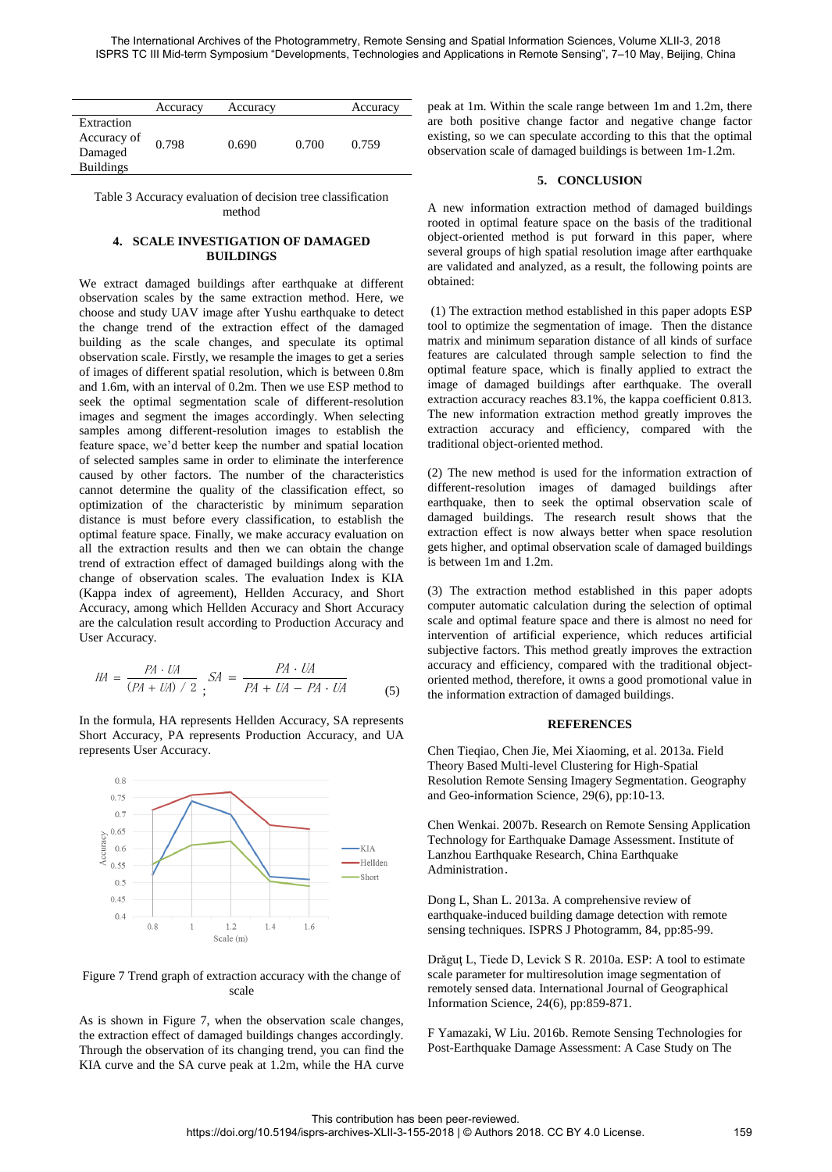|                  | Accuracy | Accuracy |       | Accuracy |
|------------------|----------|----------|-------|----------|
| Extraction       |          |          |       |          |
| Accuracy of      | 0.798    | 0.690    | 0.700 | 0.759    |
| Damaged          |          |          |       |          |
| <b>Buildings</b> |          |          |       |          |

Table 3 Accuracy evaluation of decision tree classification method

## **4. SCALE INVESTIGATION OF DAMAGED BUILDINGS**

We extract damaged buildings after earthquake at different observation scales by the same extraction method. Here, we choose and study UAV image after Yushu earthquake to detect the change trend of the extraction effect of the damaged building as the scale changes, and speculate its optimal observation scale. Firstly, we resample the images to get a series of images of different spatial resolution, which is between 0.8m and 1.6m, with an interval of 0.2m. Then we use ESP method to seek the optimal segmentation scale of different-resolution images and segment the images accordingly. When selecting samples among different-resolution images to establish the feature space, we'd better keep the number and spatial location of selected samples same in order to eliminate the interference caused by other factors. The number of the characteristics cannot determine the quality of the classification effect, so optimization of the characteristic by minimum separation distance is must before every classification, to establish the optimal feature space. Finally, we make accuracy evaluation on all the extraction results and then we can obtain the change trend of extraction effect of damaged buildings along with the change of observation scales. The evaluation Index is KIA (Kappa index of agreement), Hellden Accuracy, and Short Accuracy, among which Hellden Accuracy and Short Accuracy are the calculation result according to Production Accuracy and User Accuracy.

$$
HA = \frac{PA \cdot UA}{(PA + UA) / 2}; SA = \frac{PA \cdot UA}{PA + UA - PA \cdot UA}
$$
 (5)

In the formula, HA represents Hellden Accuracy, SA represents Short Accuracy, PA represents Production Accuracy, and UA represents User Accuracy.



Figure 7 Trend graph of extraction accuracy with the change of scale

As is shown in Figure 7, when the observation scale changes, the extraction effect of damaged buildings changes accordingly. Through the observation of its changing trend, you can find the KIA curve and the SA curve peak at 1.2m, while the HA curve

peak at 1m. Within the scale range between 1m and 1.2m, there are both positive change factor and negative change factor existing, so we can speculate according to this that the optimal observation scale of damaged buildings is between 1m-1.2m.

## **5. CONCLUSION**

A new information extraction method of damaged buildings rooted in optimal feature space on the basis of the traditional object-oriented method is put forward in this paper, where several groups of high spatial resolution image after earthquake are validated and analyzed, as a result, the following points are obtained:

 (1) The extraction method established in this paper adopts ESP tool to optimize the segmentation of image. Then the distance matrix and minimum separation distance of all kinds of surface features are calculated through sample selection to find the optimal feature space, which is finally applied to extract the image of damaged buildings after earthquake. The overall extraction accuracy reaches 83.1%, the kappa coefficient 0.813. The new information extraction method greatly improves the extraction accuracy and efficiency, compared with the traditional object-oriented method.

(2) The new method is used for the information extraction of different-resolution images of damaged buildings after earthquake, then to seek the optimal observation scale of damaged buildings. The research result shows that the extraction effect is now always better when space resolution gets higher, and optimal observation scale of damaged buildings is between 1m and 1.2m.

(3) The extraction method established in this paper adopts computer automatic calculation during the selection of optimal scale and optimal feature space and there is almost no need for intervention of artificial experience, which reduces artificial subjective factors. This method greatly improves the extraction accuracy and efficiency, compared with the traditional objectoriented method, therefore, it owns a good promotional value in the information extraction of damaged buildings.

## **REFERENCES**

Chen Tieqiao, Chen Jie, Mei Xiaoming, et al. 2013a. Field Theory Based Multi-level Clustering for High-Spatial Resolution Remote Sensing Imagery Segmentation. Geography and Geo-information Science, 29(6), pp:10-13.

Chen Wenkai. 2007b. Research on Remote Sensing Application Technology for Earthquake Damage Assessment. Institute of Lanzhou Earthquake Research, China Earthquake Administration.

Dong L, Shan L. 2013a. A comprehensive review of earthquake-induced building damage detection with remote sensing techniques. ISPRS J Photogramm, 84, pp:85-99.

Drǎguţ L, Tiede D, Levick S R. 2010a. ESP: A tool to estimate scale parameter for multiresolution image segmentation of remotely sensed data. International Journal of Geographical Information Science, 24(6), pp:859-871.

F Yamazaki, W Liu. 2016b. Remote Sensing Technologies for Post-Earthquake Damage Assessment: A Case Study on The